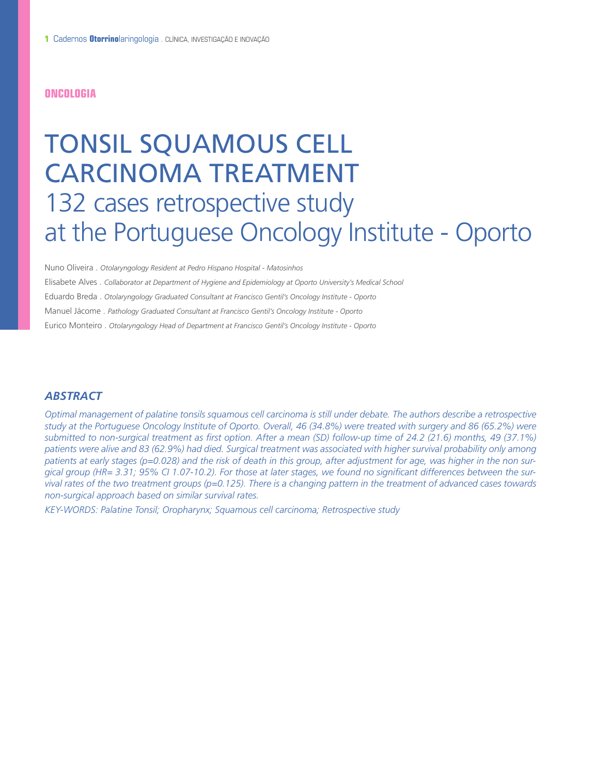#### **ONCOLOGIA**

# TONSIL SQUAMOUS CELL CARCINOMA TREATMENT 132 cases retrospective study at the Portuguese Oncology Institute - Oporto

Nuno Oliveira . *Otolaryngology Resident at Pedro Hispano Hospital - Matosinhos* Elisabete Alves . *Collaborator at Department of Hygiene and Epidemiology at Oporto University's Medical School* Eduardo Breda . *Otolaryngology Graduated Consultant at Francisco Gentil's Oncology Institute - Oporto* Manuel Jácome . *Pathology Graduated Consultant at Francisco Gentil's Oncology Institute - Oporto* Eurico Monteiro . *Otolaryngology Head of Department at Francisco Gentil's Oncology Institute - Oporto*

### *ABSTRACT*

Optimal management of palatine tonsils squamous cell carcinoma is still under debate. The authors describe a retrospective study at the Portuguese Oncology Institute of Oporto. Overall, 46 (34.8%) were treated with surgery and 86 (65.2%) were submitted to non-surgical treatment as first option. After a mean (SD) follow-up time of 24.2 (21.6) months, 49 (37.1%) patients were alive and 83 (62.9%) had died. Surgical treatment was associated with higher survival probability only among patients at early stages (p=0.028) and the risk of death in this group, after adjustment for age, was higher in the non surgical group (HR= 3.31; 95% Cl 1.07-10.2). For those at later stages, we found no significant differences between the survival rates of the two treatment groups (p=0.125). There is a changing pattern in the treatment of advanced cases towards *non-surgical approach based on similar survival rates.*

*KEY-WORDS: Palatine Tonsil; Oropharynx; Squamous cell carcinoma; Retrospective study*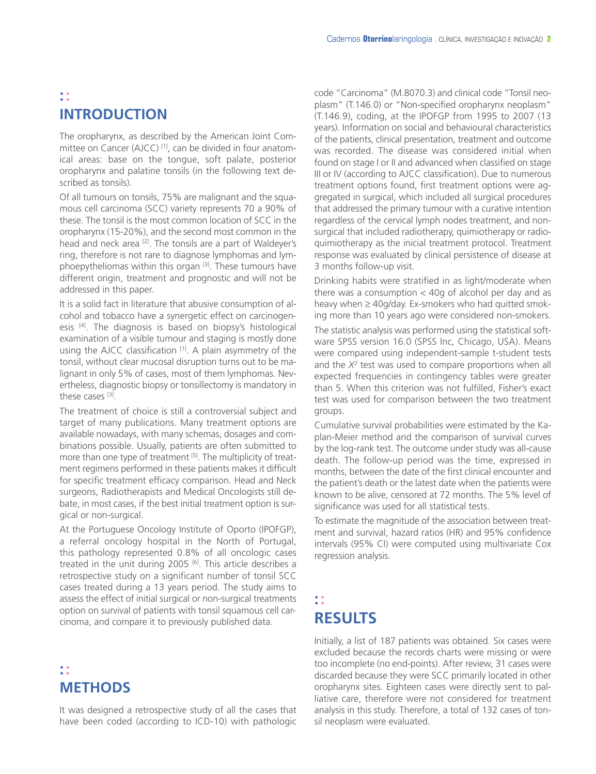## **:: INTRODUCTION**

The oropharynx, as described by the American Joint Committee on Cancer (AJCC) [1] , can be divided in four anatomical areas: base on the tongue, soft palate, posterior oropharynx and palatine tonsils (in the following text described as tonsils).

Of all tumours on tonsils, 75% are malignant and the squamous cell carcinoma (SCC) variety represents 70 a 90% of these. The tonsil is the most common location of SCC in the oropharynx (15-20%), and the second most common in the head and neck area <sup>121</sup>. The tonsils are a part of Waldeyer's ring, therefore is not rare to diagnose lymphomas and lymphoepytheliomas within this organ  $^{[3]}$ . These tumours have different origin, treatment and prognostic and will not be addressed in this paper.

It is a solid fact in literature that abusive consumption of alcohol and tobacco have a synergetic effect on carcinogenesis <sup>[4]</sup>. The diagnosis is based on biopsy's histological examination of a visible tumour and staging is mostly done using the AJCC classification [1]. A plain asymmetry of the tonsil, without clear mucosal disruption turns out to be malignant in only 5% of cases, most of them lymphomas. Nevertheless, diagnostic biopsy or tonsillectomy is mandatory in these cases [3].

The treatment of choice is still a controversial subject and target of many publications. Many treatment options are available nowadays, with many schemas, dosages and combinations possible. Usually, patients are often submitted to more than one type of treatment <sup>[5]</sup>. The multiplicity of treatment regimens performed in these patients makes it difficult for specific treatment efficacy comparison. Head and Neck surgeons, Radiotherapists and Medical Oncologists still debate, in most cases, if the best initial treatment option is surgical or non-surgical.

At the Portuguese Oncology Institute of Oporto (IPOFGP), a referral oncology hospital in the North of Portugal, this pathology represented 0.8% of all oncologic cases treated in the unit during 2005  $^{[6]}$ . This article describes a retrospective study on a significant number of tonsil SCC cases treated during a 13 years period. The study aims to assess the effect of initial surgical or non-surgical treatments option on survival of patients with tonsil squamous cell carcinoma, and compare it to previously published data.

## **:: METHODS**

It was designed a retrospective study of all the cases that have been coded (according to ICD-10) with pathologic code "Carcinoma" (M.8070.3) and clinical code "Tonsil neoplasm" (T.146.0) or "Non-specified oropharynx neoplasm" (T.146.9), coding, at the IPOFGP from 1995 to 2007 (13 years). Information on social and behavioural characteristics of the patients, clinical presentation, treatment and outcome was recorded. The disease was considered initial when found on stage I or II and advanced when classified on stage III or IV (according to AJCC classification). Due to numerous treatment options found, first treatment options were aggregated in surgical, which included all surgical procedures that addressed the primary tumour with a curative intention regardless of the cervical lymph nodes treatment, and nonsurgical that included radiotherapy, quimiotherapy or radioquimiotherapy as the inicial treatment protocol. Treatment response was evaluated by clinical persistence of disease at 3 months follow-up visit.

Drinking habits were stratified in as light/moderate when there was a consumption  $<$  40g of alcohol per day and as heavy when ≥ 40g/day. Ex-smokers who had quitted smoking more than 10 years ago were considered non-smokers.

The statistic analysis was performed using the statistical software SPSS version 16.0 (SPSS Inc, Chicago, USA). Means were compared using independent-sample t-student tests and the *X2* test was used to compare proportions when all expected frequencies in contingency tables were greater than 5. When this criterion was not fulfilled, Fisher's exact test was used for comparison between the two treatment groups.

Cumulative survival probabilities were estimated by the Kaplan-Meier method and the comparison of survival curves by the log-rank test. The outcome under study was all-cause death. The follow-up period was the time, expressed in months, between the date of the first clinical encounter and the patient's death or the latest date when the patients were known to be alive, censored at 72 months. The 5% level of significance was used for all statistical tests.

To estimate the magnitude of the association between treatment and survival, hazard ratios (HR) and 95% confidence intervals (95% CI) were computed using multivariate Cox regression analysis.

## **:: RESULTS**

Initially, a list of 187 patients was obtained. Six cases were excluded because the records charts were missing or were too incomplete (no end-points). After review, 31 cases were discarded because they were SCC primarily located in other oropharynx sites. Eighteen cases were directly sent to palliative care, therefore were not considered for treatment analysis in this study. Therefore, a total of 132 cases of tonsil neoplasm were evaluated.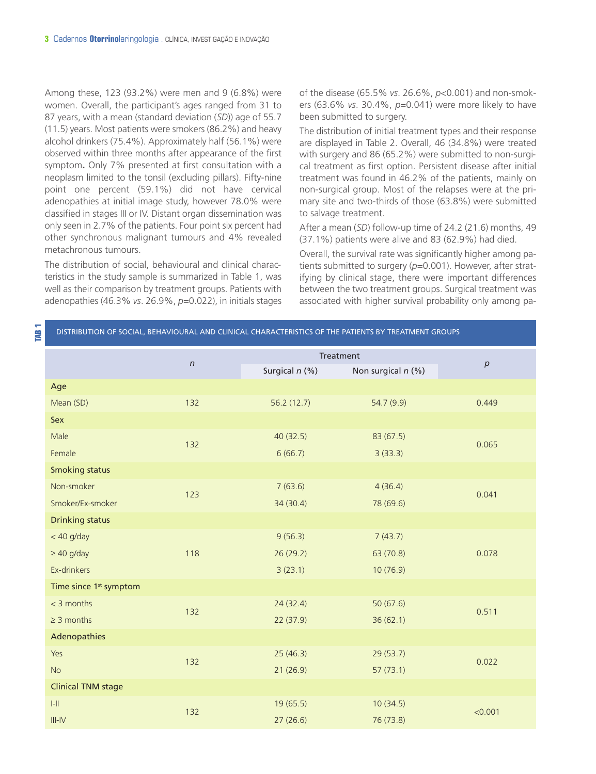Among these, 123 (93.2%) were men and 9 (6.8%) were women. Overall, the participant's ages ranged from 31 to 87 years, with a mean (standard deviation (*SD*)) age of 55.7 (11.5) years. Most patients were smokers (86.2%) and heavy alcohol drinkers (75.4%). Approximately half (56.1%) were observed within three months after appearance of the first symptom**.** Only 7% presented at first consultation with a neoplasm limited to the tonsil (excluding pillars). Fifty-nine point one percent (59.1%) did not have cervical adenopathies at initial image study, however 78.0% were classified in stages III or IV. Distant organ dissemination was only seen in 2.7% of the patients. Four point six percent had other synchronous malignant tumours and 4% revealed metachronous tumours.

The distribution of social, behavioural and clinical characteristics in the study sample is summarized in Table 1, was well as their comparison by treatment groups. Patients with adenopathies (46.3% *vs*. 26.9%, *p*=0.022), in initials stages of the disease (65.5% *vs*. 26.6%, *p*<0.001) and non-smokers (63.6% *vs*. 30.4%, *p*=0.041) were more likely to have been submitted to surgery.

The distribution of initial treatment types and their response are displayed in Table 2. Overall, 46 (34.8%) were treated with surgery and 86 (65.2%) were submitted to non-surgical treatment as first option. Persistent disease after initial treatment was found in 46.2% of the patients, mainly on non-surgical group. Most of the relapses were at the primary site and two-thirds of those (63.8%) were submitted to salvage treatment.

After a mean (*SD*) follow-up time of 24.2 (21.6) months, 49 (37.1%) patients were alive and 83 (62.9%) had died.

Overall, the survival rate was significantly higher among patients submitted to surgery (p=0.001). However, after stratifying by clinical stage, there were important differences between the two treatment groups. Surgical treatment was associated with higher survival probability only among pa-

**DISTRIBUTION OF SOCIAL, BEHAVIOURAL AND CLINICAL CHARACTERISTICS OF THE PATIENTS BY TREATMENT GROUPS** 

|                                    |            | Treatment      |                    |                  |  |
|------------------------------------|------------|----------------|--------------------|------------------|--|
|                                    | $\sqrt{n}$ | Surgical n (%) | Non surgical n (%) | $\boldsymbol{p}$ |  |
| Age                                |            |                |                    |                  |  |
| Mean (SD)                          | 132        | 56.2 (12.7)    | 54.7 (9.9)         | 0.449            |  |
| Sex                                |            |                |                    |                  |  |
| Male                               | 132        | 40(32.5)       | 83(67.5)           | 0.065            |  |
| Female                             |            | 6(66.7)        | 3(33.3)            |                  |  |
| <b>Smoking status</b>              |            |                |                    |                  |  |
| Non-smoker                         |            | 7(63.6)        | 4(36.4)            |                  |  |
| Smoker/Ex-smoker                   | 123        | 34 (30.4)      | 78 (69.6)          | 0.041            |  |
| <b>Drinking status</b>             |            |                |                    |                  |  |
| $<$ 40 g/day                       |            | 9(56.3)        | 7(43.7)            |                  |  |
| $\geq$ 40 g/day                    | 118        | 26(29.2)       | 63 (70.8)          | 0.078            |  |
| Ex-drinkers                        |            | 3(23.1)        | 10(76.9)           |                  |  |
| Time since 1 <sup>st</sup> symptom |            |                |                    |                  |  |
| $<$ 3 months                       |            | 24(32.4)       | 50(67.6)           |                  |  |
| $\geq$ 3 months                    | 132        | 22 (37.9)      | 36(62.1)           | 0.511            |  |
| Adenopathies                       |            |                |                    |                  |  |
| Yes                                |            | 25(46.3)       | 29(53.7)           |                  |  |
| <b>No</b>                          | 132        | 21(26.9)       | 57(73.1)           | 0.022            |  |
| <b>Clinical TNM stage</b>          |            |                |                    |                  |  |
| $I-II$                             |            | 19(65.5)       | 10(34.5)           |                  |  |
|                                    | 132        |                |                    | < 0.001          |  |

III-IV  $27 (26.6)$  76 (73.8)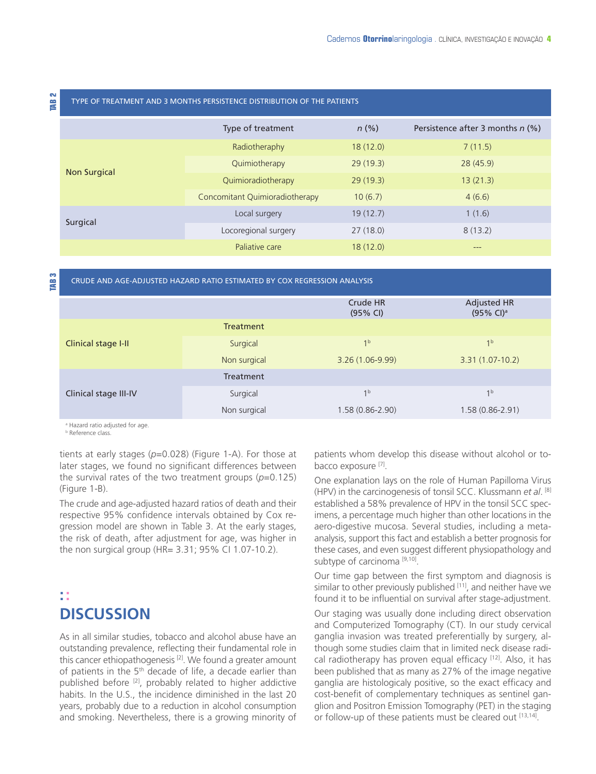#### TYPE OF TREATMENT AND <sup>3</sup> MONTHS PERSISTENCE DISTRIBUTION OF THE PATIENTS **TAB <sup>2</sup>**

|              | Type of treatment              | $n$ (%)  | Persistence after 3 months $n$ (%) |
|--------------|--------------------------------|----------|------------------------------------|
|              | Radiotheraphy                  | 18(12.0) | 7(11.5)                            |
|              | Quimiotherapy                  | 29(19.3) | 28(45.9)                           |
| Non Surgical | Quimioradiotherapy             | 29(19.3) | 13(21.3)                           |
|              | Concomitant Quimioradiotherapy | 10(6.7)  | 4(6.6)                             |
| Surgical     | Local surgery                  | 19(12.7) | 1(1.6)                             |
|              | Locoregional surgery           | 27(18.0) | 8(13.2)                            |
|              | Paliative care                 | 18(12.0) | $---$                              |

## CRUDE AND AGE-ADJUSTED HAZARD RATIO ESTIMATED BY COX REGRESSION ANALYSIS **TAB <sup>3</sup>**

|                       |              | Crude HR<br>(95% CI) | <b>Adjusted HR</b><br>$(95\% \text{ Cl})^3$ |
|-----------------------|--------------|----------------------|---------------------------------------------|
| Clinical stage I-II   | Treatment    |                      |                                             |
|                       | Surgical     | 1 <sup>b</sup>       | 1 <sup>b</sup>                              |
|                       | Non surgical | $3.26(1.06-9.99)$    | $3.31(1.07-10.2)$                           |
|                       | Treatment    |                      |                                             |
| Clinical stage III-IV | Surgical     | 1 <sup>b</sup>       | 1 <sup>b</sup>                              |
|                       | Non surgical | $1.58(0.86 - 2.90)$  | $1.58(0.86 - 2.91)$                         |

<sup>a</sup> Hazard ratio adjusted for age.

**b** Reference class

tients at early stages (p=0.028) (Figure 1-A). For those at later stages, we found no significant differences between the survival rates of the two treatment groups (*p*=0.125) (Figure 1-B).

The crude and age-adjusted hazard ratios of death and their respective 95% confidence intervals obtained by Cox regression model are shown in Table 3. At the early stages, the risk of death, after adjustment for age, was higher in the non surgical group (HR= 3.31; 95% CI 1.07-10.2).

## **:: DISCUSSION**

As in all similar studies, tobacco and alcohol abuse have an outstanding prevalence, reflecting their fundamental role in this cancer ethiopathogenesis <sup>[2]</sup>. We found a greater amount of patients in the 5<sup>th</sup> decade of life, a decade earlier than published before <sup>[2]</sup>, probably related to higher addictive habits. In the U.S., the incidence diminished in the last 20 years, probably due to a reduction in alcohol consumption and smoking. Nevertheless, there is a growing minority of

patients whom develop this disease without alcohol or tobacco exposure [7].

One explanation lays on the role of Human Papilloma Virus (HPV) in the carcinogenesis of tonsil SCC. Klussmann *et al*. [8] established a 58% prevalence of HPV in the tonsil SCC specimens, a percentage much higher than other locations in the aero-digestive mucosa. Several studies, including a metaanalysis, support this fact and establish a better prognosis for these cases, and even suggest different physiopathology and subtype of carcinoma [9,10].

Our time gap between the first symptom and diagnosis is similar to other previously published  $^{[11]}$ , and neither have we found it to be influential on survival after stage-adjustment.

Our staging was usually done including direct observation and Computerized Tomography (CT). In our study cervical ganglia invasion was treated preferentially by surgery, although some studies claim that in limited neck disease radical radiotherapy has proven equal efficacy [12]. Also, it has been published that as many as 27% of the image negative ganglia are histologicaly positive, so the exact efficacy and cost-benefit of complementary techniques as sentinel ganglion and Positron Emission Tomography (PET) in the staging or follow-up of these patients must be cleared out [13,14].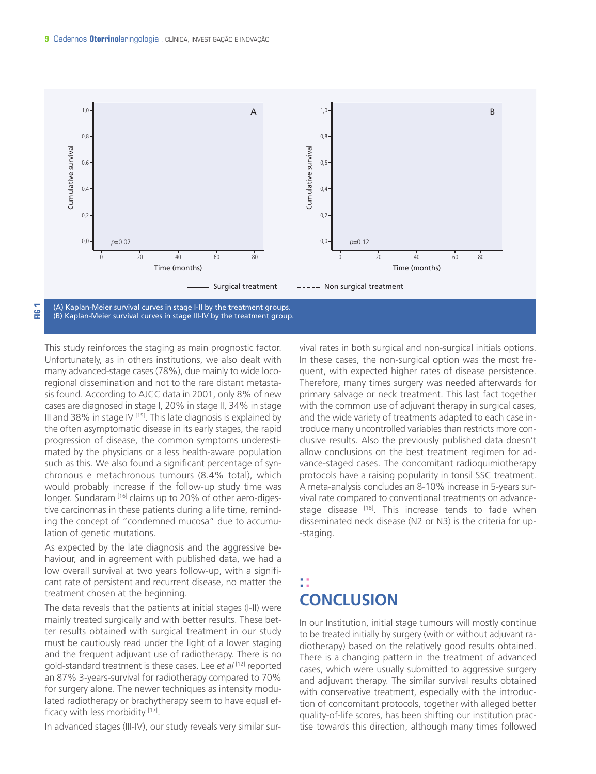

This study reinforces the staging as main prognostic factor. Unfortunately, as in others institutions, we also dealt with many advanced-stage cases (78%), due mainly to wide locoregional dissemination and not to the rare distant metastasis found. According to AJCC data in 2001, only 8% of new cases are diagnosed in stage I, 20% in stage II, 34% in stage III and 38% in stage IV <sup>[15]</sup>. This late diagnosis is explained by the often asymptomatic disease in its early stages, the rapid progression of disease, the common symptoms underestimated by the physicians or a less health-aware population such as this. We also found a significant percentage of synchronous e metachronous tumours (8.4% total), which would probably increase if the follow-up study time was longer. Sundaram [16] claims up to 20% of other aero-digestive carcinomas in these patients during a life time, reminding the concept of "condemned mucosa" due to accumulation of genetic mutations.

As expected by the late diagnosis and the aggressive behaviour, and in agreement with published data, we had a low overall survival at two years follow-up, with a significant rate of persistent and recurrent disease, no matter the treatment chosen at the beginning.

The data reveals that the patients at initial stages (I-II) were mainly treated surgically and with better results. These better results obtained with surgical treatment in our study must be cautiously read under the light of a lower staging and the frequent adjuvant use of radiotherapy. There is no gold-standard treatment is these cases. Lee *et al* [12] reported an 87% 3-years-survival for radiotherapy compared to 70% for surgery alone. The newer techniques as intensity modulated radiotherapy or brachytherapy seem to have equal efficacy with less morbidity [17].

In advanced stages (III-IV), our study reveals very similar sur-

vival rates in both surgical and non-surgical initials options. In these cases, the non-surgical option was the most frequent, with expected higher rates of disease persistence. Therefore, many times surgery was needed afterwards for primary salvage or neck treatment. This last fact together with the common use of adjuvant therapy in surgical cases, and the wide variety of treatments adapted to each case introduce many uncontrolled variables than restricts more conclusive results. Also the previously published data doesn't allow conclusions on the best treatment regimen for advance-staged cases. The concomitant radioquimiotherapy protocols have a raising popularity in tonsil SSC treatment. A meta-analysis concludes an 8-10% increase in 5-years survival rate compared to conventional treatments on advancestage disease <sup>[18]</sup>. This increase tends to fade when disseminated neck disease (N2 or N3) is the criteria for up- -staging.

## **:: CONCLUSION**

In our Institution, initial stage tumours will mostly continue to be treated initially by surgery (with or without adjuvant radiotherapy) based on the relatively good results obtained. There is a changing pattern in the treatment of advanced cases, which were usually submitted to aggressive surgery and adjuvant therapy. The similar survival results obtained with conservative treatment, especially with the introduction of concomitant protocols, together with alleged better quality-of-life scores, has been shifting our institution practise towards this direction, although many times followed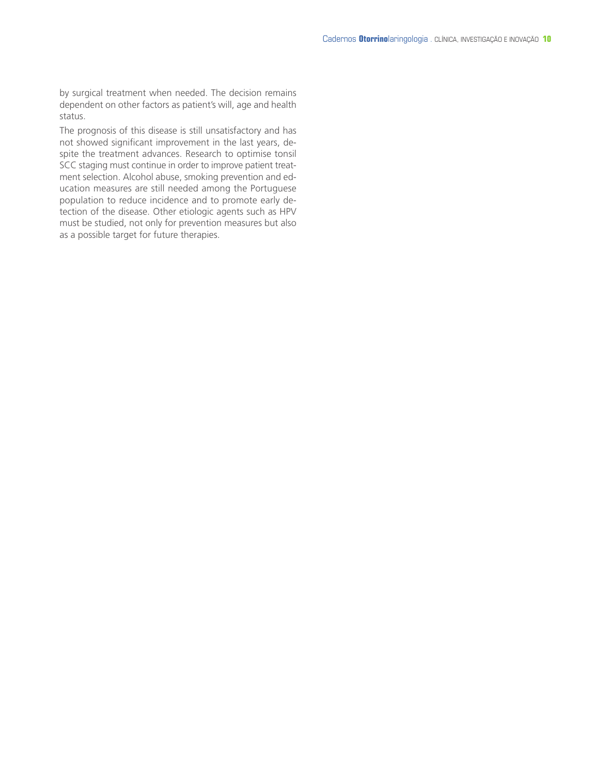by surgical treatment when needed. The decision remains dependent on other factors as patient's will, age and health status.

The prognosis of this disease is still unsatisfactory and has not showed significant improvement in the last years, despite the treatment advances. Research to optimise tonsil SCC staging must continue in order to improve patient treatment selection. Alcohol abuse, smoking prevention and education measures are still needed among the Portuguese population to reduce incidence and to promote early detection of the disease. Other etiologic agents such as HPV must be studied, not only for prevention measures but also as a possible target for future therapies.